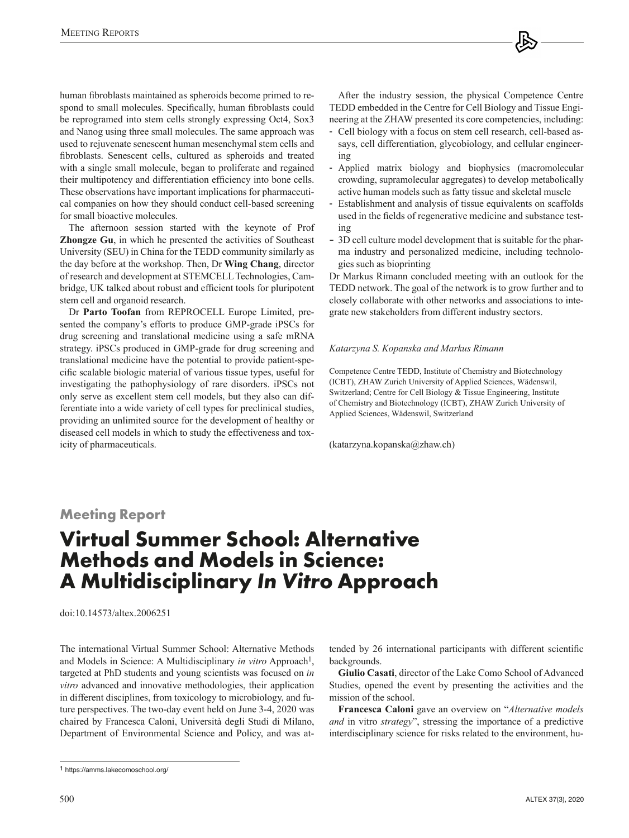human fibroblasts maintained as spheroids become primed to respond to small molecules. Specifically, human fibroblasts could be reprogramed into stem cells strongly expressing Oct4, Sox3 and Nanog using three small molecules. The same approach was used to rejuvenate senescent human mesenchymal stem cells and fibroblasts. Senescent cells, cultured as spheroids and treated with a single small molecule, began to proliferate and regained their multipotency and differentiation efficiency into bone cells. These observations have important implications for pharmaceutical companies on how they should conduct cell-based screening for small bioactive molecules.

The afternoon session started with the keynote of Prof **Zhongze Gu**, in which he presented the activities of Southeast University (SEU) in China for the TEDD community similarly as the day before at the workshop. Then, Dr **Wing Chang**, director of research and development at STEMCELL Technologies, Cambridge, UK talked about robust and efficient tools for pluripotent stem cell and organoid research.

Dr **Parto Toofan** from REPROCELL Europe Limited, presented the company's efforts to produce GMP-grade iPSCs for drug screening and translational medicine using a safe mRNA strategy. iPSCs produced in GMP-grade for drug screening and translational medicine have the potential to provide patient-specific scalable biologic material of various tissue types, useful for investigating the pathophysiology of rare disorders. iPSCs not only serve as excellent stem cell models, but they also can differentiate into a wide variety of cell types for preclinical studies, providing an unlimited source for the development of healthy or diseased cell models in which to study the effectiveness and toxicity of pharmaceuticals.

After the industry session, the physical Competence Centre TEDD embedded in the Centre for Cell Biology and Tissue Engineering at the ZHAW presented its core competencies, including:

- Cell biology with a focus on stem cell research, cell-based assays, cell differentiation, glycobiology, and cellular engineering
- Applied matrix biology and biophysics (macromolecular crowding, supramolecular aggregates) to develop metabolically active human models such as fatty tissue and skeletal muscle
- Establishment and analysis of tissue equivalents on scaffolds used in the fields of regenerative medicine and substance testing
- 3D cell culture model development that is suitable for the pharma industry and personalized medicine, including technologies such as bioprinting

Dr Markus Rimann concluded meeting with an outlook for the TEDD network. The goal of the network is to grow further and to closely collaborate with other networks and associations to integrate new stakeholders from different industry sectors.

#### *Katarzyna S. Kopanska and Markus Rimann*

Competence Centre TEDD, Institute of Chemistry and Biotechnology (ICBT), ZHAW Zurich University of Applied Sciences, Wädenswil, Switzerland; Centre for Cell Biology & Tissue Engineering, Institute of Chemistry and Biotechnology (ICBT), ZHAW Zurich University of Applied Sciences, Wädenswil, Switzerland

([katarzyna.kopanska@zhaw.ch\)](mailto:katarzyna.kopanska@zhaw.ch)

## **Meeting Report**

# **Virtual Summer School: Alternative Methods and Models in Science: A Multidisciplinary** *In Vitro* **Approach**

[doi:10.14573/altex.2006251](https://doi.org/10.14573/altex.2006251)

The international Virtual Summer School: Alternative Methods and Models in Science: A Multidisciplinary *in vitro* Approach<sup>1</sup>, targeted at PhD students and young scientists was focused on *in vitro* advanced and innovative methodologies, their application in different disciplines, from toxicology to microbiology, and future perspectives. The two-day event held on June 3-4, 2020 was chaired by Francesca Caloni, Università degli Studi di Milano, Department of Environmental Science and Policy, and was attended by 26 international participants with different scientific backgrounds.

**Giulio Casati**, director of the Lake Como School of Advanced Studies, opened the event by presenting the activities and the mission of the school.

**Francesca Caloni** gave an overview on "*Alternative models and* in vitro *strategy*", stressing the importance of a predictive interdisciplinary science for risks related to the environment, hu-

<sup>1</sup> <https://amms.lakecomoschool.org/>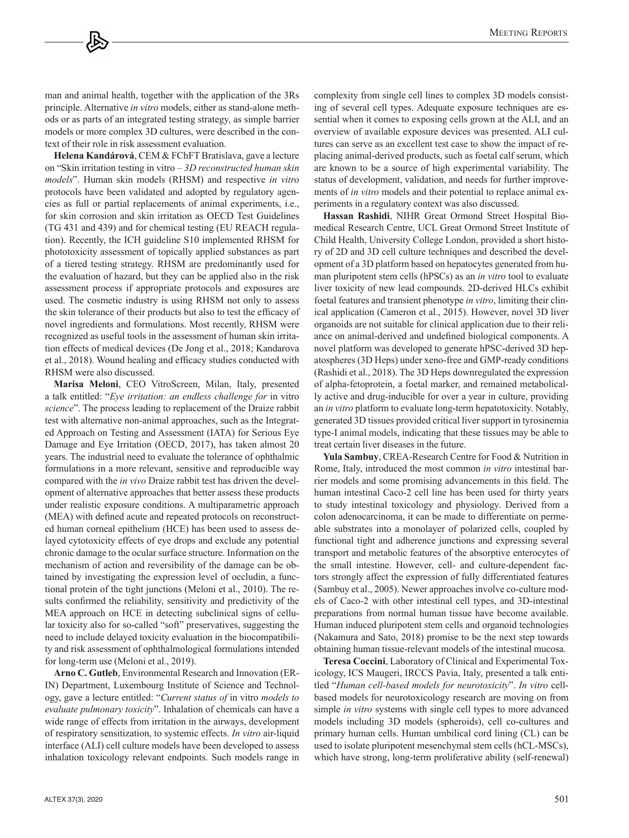man and animal health, together with the application of the 3Rs principle. Alternative *in vitro* models, either as stand-alone methods or as parts of an integrated testing strategy, as simple barrier models or more complex 3D cultures, were described in the context of their role in risk assessment evaluation.

**Helena Kandárová**, CEM & FChFT Bratislava, gave a lecture on "Skin irritation testing in vitro – *3D reconstructed human skin models*". Human skin models (RHSM) and respective *in vitro* protocols have been validated and adopted by regulatory agencies as full or partial replacements of animal experiments, i.e., for skin corrosion and skin irritation as OECD Test Guidelines (TG 431 and 439) and for chemical testing (EU REACH regulation). Recently, the ICH guideline S10 implemented RHSM for phototoxicity assessment of topically applied substances as part of a tiered testing strategy. RHSM are predominantly used for the evaluation of hazard, but they can be applied also in the risk assessment process if appropriate protocols and exposures are used. The cosmetic industry is using RHSM not only to assess the skin tolerance of their products but also to test the efficacy of novel ingredients and formulations. Most recently, RHSM were recognized as useful tools in the assessment of human skin irritation effects of medical devices (De Jong et al., 2018; Kandarova et al., 2018). Wound healing and efficacy studies conducted with RHSM were also discussed.

**Marisa Meloni**, CEO VitroScreen, Milan, Italy, presented a talk entitled: "*Eye irritation: an endless challenge for* in vitro *science*". The process leading to replacement of the Draize rabbit test with alternative non-animal approaches, such as the Integrated Approach on Testing and Assessment (IATA) for Serious Eye Damage and Eye Irritation (OECD, 2017), has taken almost 20 years. The industrial need to evaluate the tolerance of ophthalmic formulations in a more relevant, sensitive and reproducible way compared with the *in vivo* Draize rabbit test has driven the development of alternative approaches that better assess these products under realistic exposure conditions. A multiparametric approach (MEA) with defined acute and repeated protocols on reconstructed human corneal epithelium (HCE) has been used to assess delayed cytotoxicity effects of eye drops and exclude any potential chronic damage to the ocular surface structure. Information on the mechanism of action and reversibility of the damage can be obtained by investigating the expression level of occludin, a functional protein of the tight junctions (Meloni et al., 2010). The results confirmed the reliability, sensitivity and predictivity of the MEA approach on HCE in detecting subclinical signs of cellular toxicity also for so-called "soft" preservatives, suggesting the need to include delayed toxicity evaluation in the biocompatibility and risk assessment of ophthalmological formulations intended for long-term use (Meloni et al., 2019).

**Arno C. Gutleb**, Environmental Research and Innovation (ER-IN) Department, Luxembourg Institute of Science and Technology, gave a lecture entitled: "*Current status of* in vitro *models to evaluate pulmonary toxicity*". Inhalation of chemicals can have a wide range of effects from irritation in the airways, development of respiratory sensitization, to systemic effects. *In vitro* air-liquid interface (ALI) cell culture models have been developed to assess inhalation toxicology relevant endpoints. Such models range in complexity from single cell lines to complex 3D models consisting of several cell types. Adequate exposure techniques are essential when it comes to exposing cells grown at the ALI, and an overview of available exposure devices was presented. ALI cultures can serve as an excellent test case to show the impact of replacing animal-derived products, such as foetal calf serum, which are known to be a source of high experimental variability. The status of development, validation, and needs for further improvements of *in vitro* models and their potential to replace animal experiments in a regulatory context was also discussed.

**Hassan Rashidi**, NIHR Great Ormond Street Hospital Biomedical Research Centre, UCL Great Ormond Street Institute of Child Health, University College London, provided a short history of 2D and 3D cell culture techniques and described the development of a 3D platform based on hepatocytes generated from human pluripotent stem cells (hPSCs) as an *in vitro* tool to evaluate liver toxicity of new lead compounds. 2D-derived HLCs exhibit foetal features and transient phenotype *in vitro*, limiting their clinical application (Cameron et al., 2015). However, novel 3D liver organoids are not suitable for clinical application due to their reliance on animal-derived and undefined biological components. A novel platform was developed to generate hPSC-derived 3D hepatospheres (3D Heps) under xeno-free and GMP-ready conditions (Rashidi et al., 2018). The 3D Heps downregulated the expression of alpha-fetoprotein, a foetal marker, and remained metabolically active and drug-inducible for over a year in culture, providing an *in vitro* platform to evaluate long-term hepatotoxicity. Notably, generated 3D tissues provided critical liver support in tyrosinemia type-I animal models, indicating that these tissues may be able to treat certain liver diseases in the future.

**Yula Sambuy**, CREA-Research Centre for Food & Nutrition in Rome, Italy, introduced the most common *in vitro* intestinal barrier models and some promising advancements in this field. The human intestinal Caco-2 cell line has been used for thirty years to study intestinal toxicology and physiology. Derived from a colon adenocarcinoma, it can be made to differentiate on permeable substrates into a monolayer of polarized cells, coupled by functional tight and adherence junctions and expressing several transport and metabolic features of the absorptive enterocytes of the small intestine. However, cell- and culture-dependent factors strongly affect the expression of fully differentiated features (Sambuy et al., 2005). Newer approaches involve co-culture models of Caco-2 with other intestinal cell types, and 3D-intestinal preparations from normal human tissue have become available. Human induced pluripotent stem cells and organoid technologies (Nakamura and Sato, 2018) promise to be the next step towards obtaining human tissue-relevant models of the intestinal mucosa.

**Teresa Coccini**, Laboratory of Clinical and Experimental Toxicology, ICS Maugeri, IRCCS Pavia, Italy, presented a talk entitled "*Human cell-based models for neurotoxicity*". *In vitro* cellbased models for neurotoxicology research are moving on from simple *in vitro* systems with single cell types to more advanced models including 3D models (spheroids), cell co-cultures and primary human cells. Human umbilical cord lining (CL) can be used to isolate pluripotent mesenchymal stem cells (hCL-MSCs), which have strong, long-term proliferative ability (self-renewal)